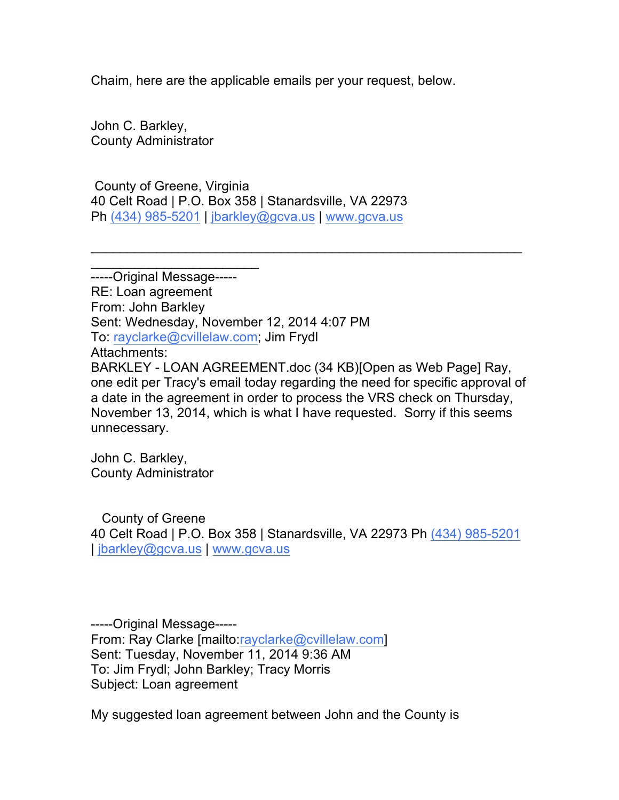Chaim, here are the applicable emails per your request, below.

John C. Barkley, County Administrator

 $\overline{\phantom{a}}$  , which is a set of the set of the set of the set of the set of the set of the set of the set of the set of the set of the set of the set of the set of the set of the set of the set of the set of the set of th

County of Greene, Virginia 40 Celt Road | P.O. Box 358 | Stanardsville, VA 22973 Ph (434) 985-5201 | jbarkley@gcva.us | www.gcva.us

-----Original Message----- RE: Loan agreement From: John Barkley Sent: Wednesday, November 12, 2014 4:07 PM To: rayclarke@cvillelaw.com; Jim Frydl Attachments: BARKLEY - LOAN AGREEMENT.doc (34 KB)[Open as Web Page] Ray, one edit per Tracy's email today regarding the need for specific approval of a date in the agreement in order to process the VRS check on Thursday, November 13, 2014, which is what I have requested. Sorry if this seems unnecessary.

 $\mathcal{L}_\text{G}$ 

John C. Barkley, County Administrator

County of Greene 40 Celt Road | P.O. Box 358 | Stanardsville, VA 22973 Ph (434) 985-5201 | jbarkley@gcva.us | www.gcva.us

-----Original Message----- From: Ray Clarke [mailto:rayclarke@cvillelaw.com] Sent: Tuesday, November 11, 2014 9:36 AM To: Jim Frydl; John Barkley; Tracy Morris Subject: Loan agreement

My suggested loan agreement between John and the County is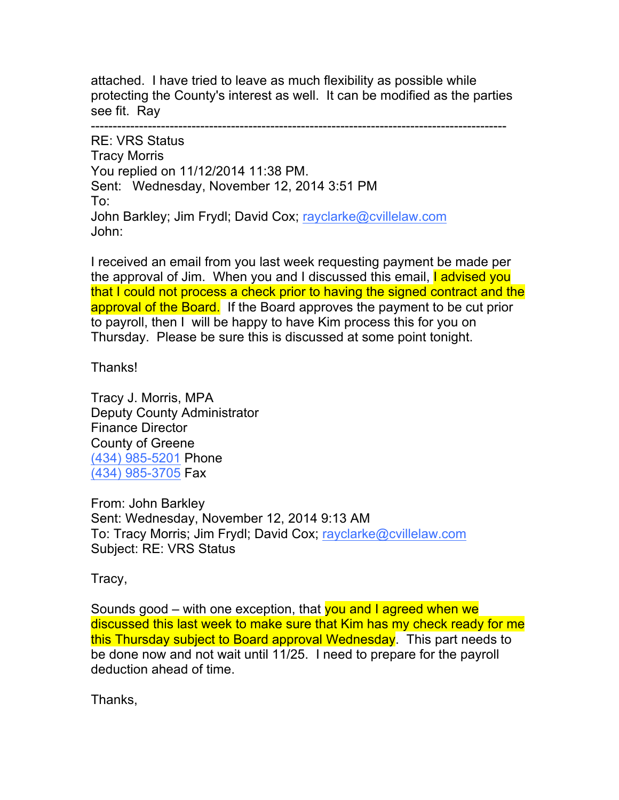attached. I have tried to leave as much flexibility as possible while protecting the County's interest as well. It can be modified as the parties see fit. Ray

-----------------------------------------------------------------------------------------------

RE: VRS Status Tracy Morris You replied on 11/12/2014 11:38 PM. Sent: Wednesday, November 12, 2014 3:51 PM To: John Barkley; Jim Frydl; David Cox; rayclarke@cvillelaw.com John:

I received an email from you last week requesting payment be made per the approval of Jim. When you and I discussed this email, I advised you that I could not process a check prior to having the signed contract and the approval of the Board. If the Board approves the payment to be cut prior to payroll, then I will be happy to have Kim process this for you on Thursday. Please be sure this is discussed at some point tonight.

Thanks!

Tracy J. Morris, MPA Deputy County Administrator Finance Director County of Greene (434) 985-5201 Phone (434) 985-3705 Fax

From: John Barkley Sent: Wednesday, November 12, 2014 9:13 AM To: Tracy Morris; Jim Frydl; David Cox; rayclarke@cvillelaw.com Subject: RE: VRS Status

Tracy,

Sounds good – with one exception, that you and I agreed when we discussed this last week to make sure that Kim has my check ready for me this Thursday subject to Board approval Wednesday. This part needs to be done now and not wait until 11/25. I need to prepare for the payroll deduction ahead of time.

Thanks,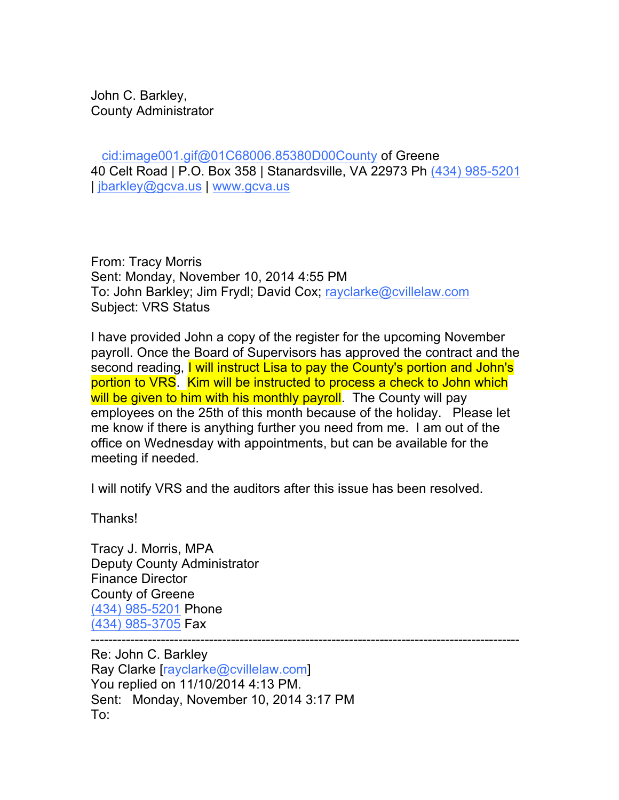John C. Barkley, County Administrator

cid:image001.gif@01C68006.85380D00County of Greene 40 Celt Road | P.O. Box 358 | Stanardsville, VA 22973 Ph (434) 985-5201 | jbarkley@gcva.us | www.gcva.us

From: Tracy Morris Sent: Monday, November 10, 2014 4:55 PM To: John Barkley; Jim Frydl; David Cox; rayclarke@cvillelaw.com Subject: VRS Status

I have provided John a copy of the register for the upcoming November payroll. Once the Board of Supervisors has approved the contract and the second reading, I will instruct Lisa to pay the County's portion and John's portion to VRS. Kim will be instructed to process a check to John which will be given to him with his monthly payroll. The County will pay employees on the 25th of this month because of the holiday. Please let me know if there is anything further you need from me. I am out of the office on Wednesday with appointments, but can be available for the meeting if needed.

I will notify VRS and the auditors after this issue has been resolved.

Thanks!

Tracy J. Morris, MPA Deputy County Administrator Finance Director County of Greene (434) 985-5201 Phone (434) 985-3705 Fax

--------------------------------------------------------------------------------------------------

Re: John C. Barkley Ray Clarke [rayclarke@cvillelaw.com] You replied on 11/10/2014 4:13 PM. Sent: Monday, November 10, 2014 3:17 PM To: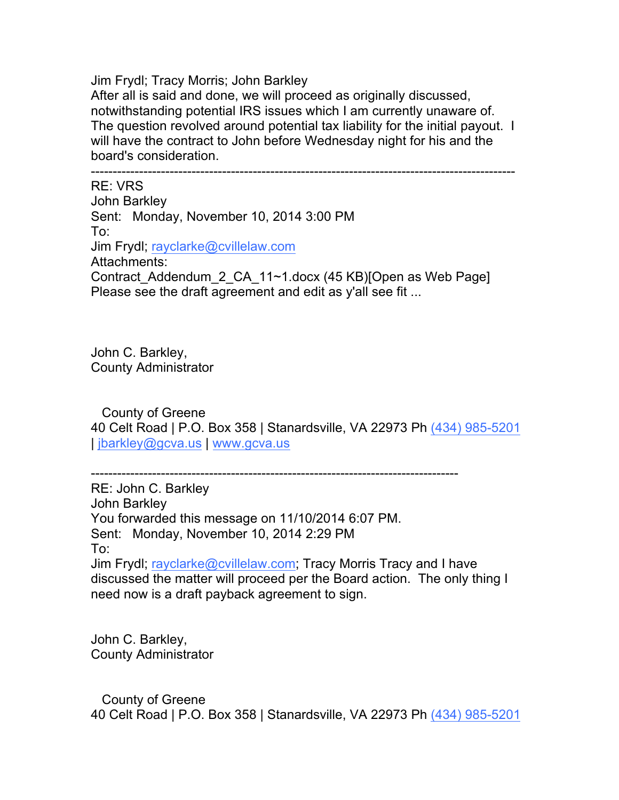Jim Frydl; Tracy Morris; John Barkley After all is said and done, we will proceed as originally discussed, notwithstanding potential IRS issues which I am currently unaware of. The question revolved around potential tax liability for the initial payout. I will have the contract to John before Wednesday night for his and the board's consideration.

------------------------------------------------------------------------------------------------- RE: VRS John Barkley Sent: Monday, November 10, 2014 3:00 PM To: Jim Frydl; rayclarke@cvillelaw.com Attachments: Contract\_Addendum\_2\_CA\_11~1.docx (45 KB)[Open as Web Page] Please see the draft agreement and edit as y'all see fit ...

John C. Barkley, County Administrator

County of Greene 40 Celt Road | P.O. Box 358 | Stanardsville, VA 22973 Ph (434) 985-5201 | jbarkley@gcva.us | www.gcva.us

------------------------------------------------------------------------------------

RE: John C. Barkley John Barkley You forwarded this message on 11/10/2014 6:07 PM. Sent: Monday, November 10, 2014 2:29 PM To: Jim Frydl; rayclarke@cvillelaw.com; Tracy Morris Tracy and I have discussed the matter will proceed per the Board action. The only thing I need now is a draft payback agreement to sign.

John C. Barkley, County Administrator

County of Greene 40 Celt Road | P.O. Box 358 | Stanardsville, VA 22973 Ph (434) 985-5201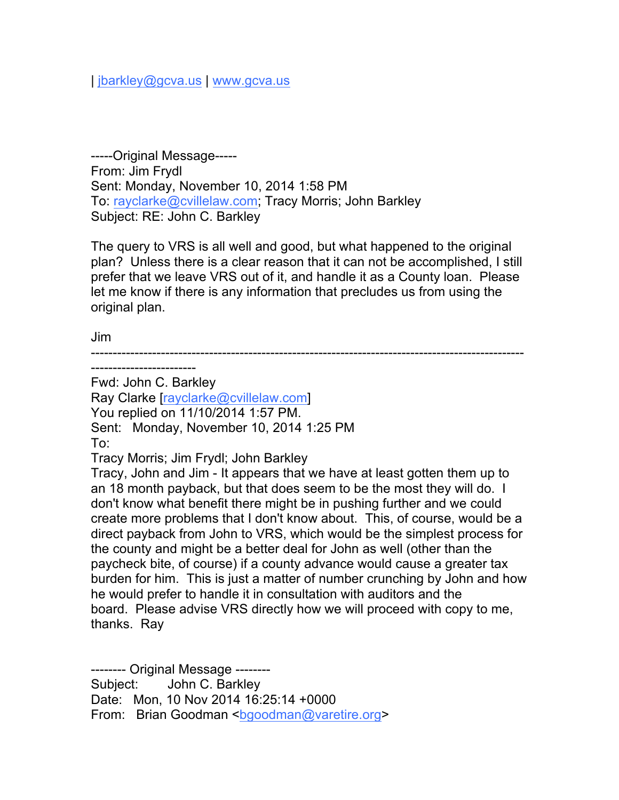| jbarkley@gcva.us | www.gcva.us

-----Original Message----- From: Jim Frydl Sent: Monday, November 10, 2014 1:58 PM To: rayclarke@cvillelaw.com; Tracy Morris; John Barkley Subject: RE: John C. Barkley

The query to VRS is all well and good, but what happened to the original plan? Unless there is a clear reason that it can not be accomplished, I still prefer that we leave VRS out of it, and handle it as a County loan. Please let me know if there is any information that precludes us from using the original plan.

Jim

--------------------------------------------------------------------------------------------------- ------------------------

Fwd: John C. Barkley

Ray Clarke [rayclarke@cvillelaw.com]

You replied on 11/10/2014 1:57 PM.

Sent: Monday, November 10, 2014 1:25 PM

To:

Tracy Morris; Jim Frydl; John Barkley

Tracy, John and Jim - It appears that we have at least gotten them up to an 18 month payback, but that does seem to be the most they will do. I don't know what benefit there might be in pushing further and we could create more problems that I don't know about. This, of course, would be a direct payback from John to VRS, which would be the simplest process for the county and might be a better deal for John as well (other than the paycheck bite, of course) if a county advance would cause a greater tax burden for him. This is just a matter of number crunching by John and how he would prefer to handle it in consultation with auditors and the board. Please advise VRS directly how we will proceed with copy to me, thanks. Ray

-------- Original Message -------- Subject: John C. Barkley Date: Mon, 10 Nov 2014 16:25:14 +0000 From: Brian Goodman <br />bgoodman@varetire.org>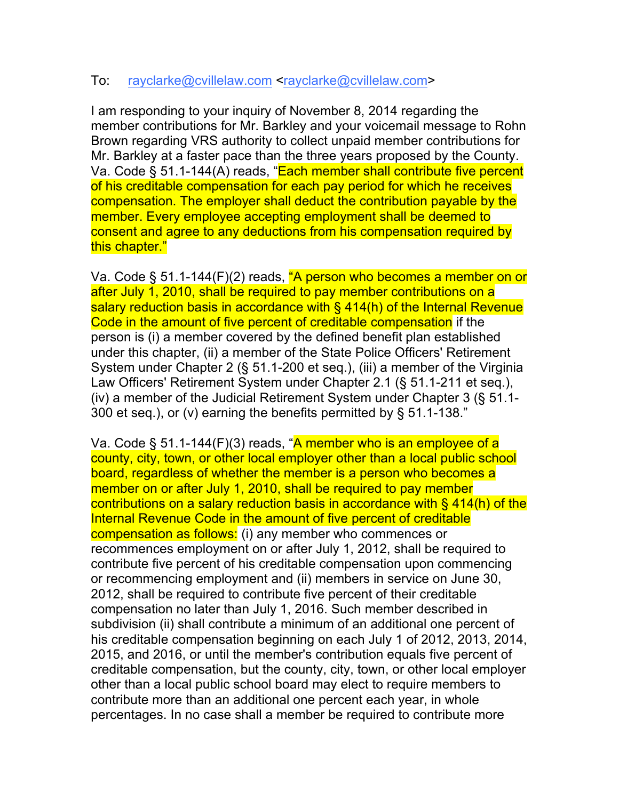## To: rayclarke@cvillelaw.com <rayclarke@cvillelaw.com>

I am responding to your inquiry of November 8, 2014 regarding the member contributions for Mr. Barkley and your voicemail message to Rohn Brown regarding VRS authority to collect unpaid member contributions for Mr. Barkley at a faster pace than the three years proposed by the County. Va. Code § 51.1-144(A) reads, "Each member shall contribute five percent of his creditable compensation for each pay period for which he receives compensation. The employer shall deduct the contribution payable by the member. Every employee accepting employment shall be deemed to consent and agree to any deductions from his compensation required by this chapter."

Va. Code § 51.1-144 $(F)(2)$  reads, "A person who becomes a member on or after July 1, 2010, shall be required to pay member contributions on a salary reduction basis in accordance with § 414(h) of the Internal Revenue Code in the amount of five percent of creditable compensation if the person is (i) a member covered by the defined benefit plan established under this chapter, (ii) a member of the State Police Officers' Retirement System under Chapter 2 (§ 51.1-200 et seq.), (iii) a member of the Virginia Law Officers' Retirement System under Chapter 2.1 (§ 51.1-211 et seq.), (iv) a member of the Judicial Retirement System under Chapter 3 (§ 51.1- 300 et seq.), or (v) earning the benefits permitted by § 51.1-138."

Va. Code § 51.1-144(F)(3) reads, "A member who is an employee of a county, city, town, or other local employer other than a local public school board, regardless of whether the member is a person who becomes a member on or after July 1, 2010, shall be required to pay member contributions on a salary reduction basis in accordance with § 414(h) of the Internal Revenue Code in the amount of five percent of creditable compensation as follows: (i) any member who commences or recommences employment on or after July 1, 2012, shall be required to contribute five percent of his creditable compensation upon commencing or recommencing employment and (ii) members in service on June 30, 2012, shall be required to contribute five percent of their creditable compensation no later than July 1, 2016. Such member described in subdivision (ii) shall contribute a minimum of an additional one percent of his creditable compensation beginning on each July 1 of 2012, 2013, 2014, 2015, and 2016, or until the member's contribution equals five percent of creditable compensation, but the county, city, town, or other local employer other than a local public school board may elect to require members to contribute more than an additional one percent each year, in whole percentages. In no case shall a member be required to contribute more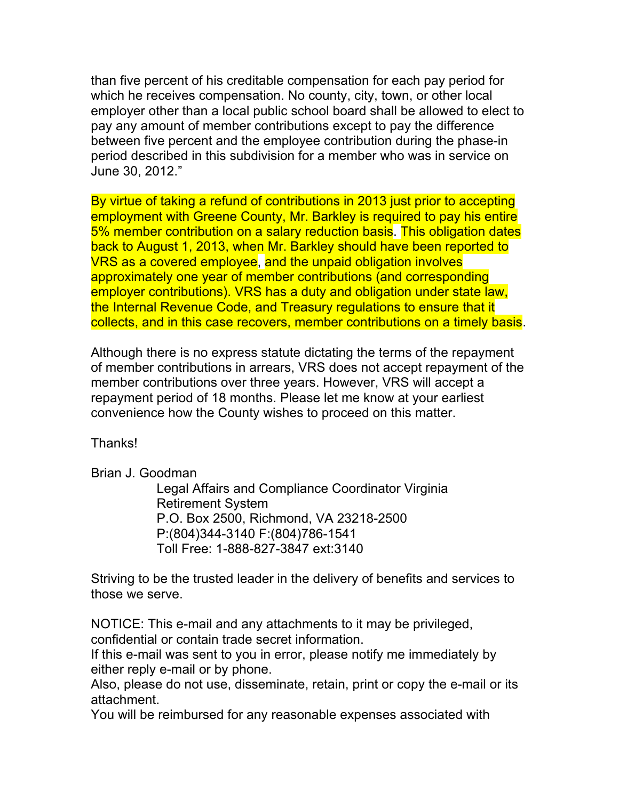than five percent of his creditable compensation for each pay period for which he receives compensation. No county, city, town, or other local employer other than a local public school board shall be allowed to elect to pay any amount of member contributions except to pay the difference between five percent and the employee contribution during the phase-in period described in this subdivision for a member who was in service on June 30, 2012."

By virtue of taking a refund of contributions in 2013 just prior to accepting employment with Greene County, Mr. Barkley is required to pay his entire 5% member contribution on a salary reduction basis. This obligation dates back to August 1, 2013, when Mr. Barkley should have been reported to VRS as a covered employee, and the unpaid obligation involves approximately one year of member contributions (and corresponding employer contributions). VRS has a duty and obligation under state law, the Internal Revenue Code, and Treasury regulations to ensure that it collects, and in this case recovers, member contributions on a timely basis.

Although there is no express statute dictating the terms of the repayment of member contributions in arrears, VRS does not accept repayment of the member contributions over three years. However, VRS will accept a repayment period of 18 months. Please let me know at your earliest convenience how the County wishes to proceed on this matter.

Thanks!

Brian J. Goodman

Legal Affairs and Compliance Coordinator Virginia Retirement System P.O. Box 2500, Richmond, VA 23218-2500 P:(804)344-3140 F:(804)786-1541 Toll Free: 1-888-827-3847 ext:3140

Striving to be the trusted leader in the delivery of benefits and services to those we serve.

NOTICE: This e-mail and any attachments to it may be privileged, confidential or contain trade secret information.

If this e-mail was sent to you in error, please notify me immediately by either reply e-mail or by phone.

Also, please do not use, disseminate, retain, print or copy the e-mail or its attachment.

You will be reimbursed for any reasonable expenses associated with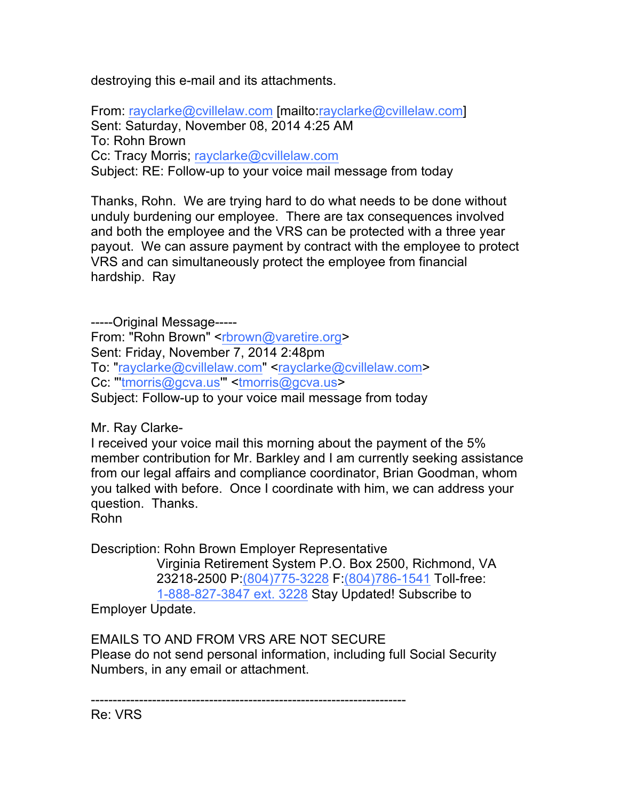destroying this e-mail and its attachments.

From: rayclarke@cvillelaw.com [mailto:rayclarke@cvillelaw.com] Sent: Saturday, November 08, 2014 4:25 AM To: Rohn Brown Cc: Tracy Morris; rayclarke@cvillelaw.com Subject: RE: Follow-up to your voice mail message from today

Thanks, Rohn. We are trying hard to do what needs to be done without unduly burdening our employee. There are tax consequences involved and both the employee and the VRS can be protected with a three year payout. We can assure payment by contract with the employee to protect VRS and can simultaneously protect the employee from financial hardship. Ray

-----Original Message----- From: "Rohn Brown" <rbrown@varetire.org> Sent: Friday, November 7, 2014 2:48pm To: "rayclarke@cvillelaw.com" <rayclarke@cvillelaw.com> Cc: "'tmorris@gcva.us" <tmorris@gcva.us> Subject: Follow-up to your voice mail message from today

Mr. Ray Clarke-

I received your voice mail this morning about the payment of the 5% member contribution for Mr. Barkley and I am currently seeking assistance from our legal affairs and compliance coordinator, Brian Goodman, whom you talked with before. Once I coordinate with him, we can address your question. Thanks.

Rohn

Description: Rohn Brown Employer Representative

Virginia Retirement System P.O. Box 2500, Richmond, VA 23218-2500 P:(804)775-3228 F:(804)786-1541 Toll-free: 1-888-827-3847 ext. 3228 Stay Updated! Subscribe to

Employer Update.

EMAILS TO AND FROM VRS ARE NOT SECURE Please do not send personal information, including full Social Security Numbers, in any email or attachment.

------------------------------------------------------------------------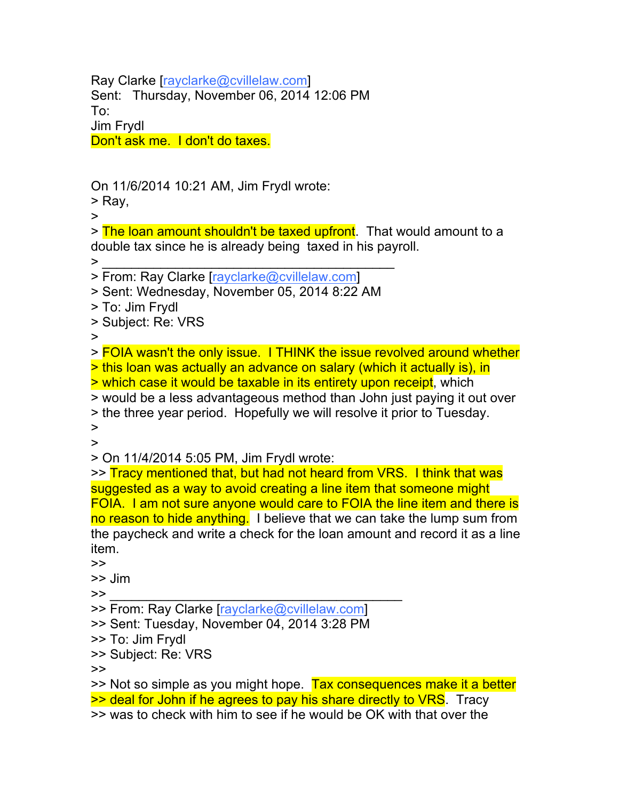Ray Clarke [rayclarke@cvillelaw.com] Sent: Thursday, November 06, 2014 12:06 PM To: Jim Frydl Don't ask me. I don't do taxes.

On 11/6/2014 10:21 AM, Jim Frydl wrote:

> Ray,

>

> The loan amount shouldn't be taxed upfront. That would amount to a double tax since he is already being taxed in his payroll.  $\bm{\geq}$  , and the set of the set of the set of the set of the set of the set of the set of the set of the set of the set of the set of the set of the set of the set of the set of the set of the set of the set of the set

> From: Ray Clarke [rayclarke@cvillelaw.com]

> Sent: Wednesday, November 05, 2014 8:22 AM

- > To: Jim Frydl
- > Subject: Re: VRS

>

> FOIA wasn't the only issue. I THINK the issue revolved around whether > this loan was actually an advance on salary (which it actually is), in

> which case it would be taxable in its entirety upon receipt, which

> would be a less advantageous method than John just paying it out over > the three year period. Hopefully we will resolve it prior to Tuesday. >

>

> On 11/4/2014 5:05 PM, Jim Frydl wrote:

>> Tracy mentioned that, but had not heard from VRS. I think that was suggested as a way to avoid creating a line item that someone might FOIA. I am not sure anyone would care to FOIA the line item and there is no reason to hide anything. I believe that we can take the lump sum from the paycheck and write a check for the loan amount and record it as a line item.

>>

>> Jim

 $\bm{\gg}$   $\bm{\gg}$   $\bm{\gg}$   $\bm{\gg}$   $\bm{\gg}$  . The contract of  $\bm{\gg}$  and  $\bm{\gg}$  and  $\bm{\gg}$  and  $\bm{\gg}$  and  $\bm{\gg}$  and  $\bm{\gg}$  and  $\bm{\gg}$  and  $\bm{\gg}$  and  $\bm{\gg}$  and  $\bm{\gg}$  and  $\bm{\gg}$  and  $\bm{\gg}$  and  $\bm{\gg}$  and  $\bm{\gg}$ 

- >> From: Ray Clarke [rayclarke@cvillelaw.com]
- >> Sent: Tuesday, November 04, 2014 3:28 PM
- >> To: Jim Frydl
- >> Subject: Re: VRS

>>

>> Not so simple as you might hope. Tax consequences make it a better >> deal for John if he agrees to pay his share directly to VRS. Tracy

>> was to check with him to see if he would be OK with that over the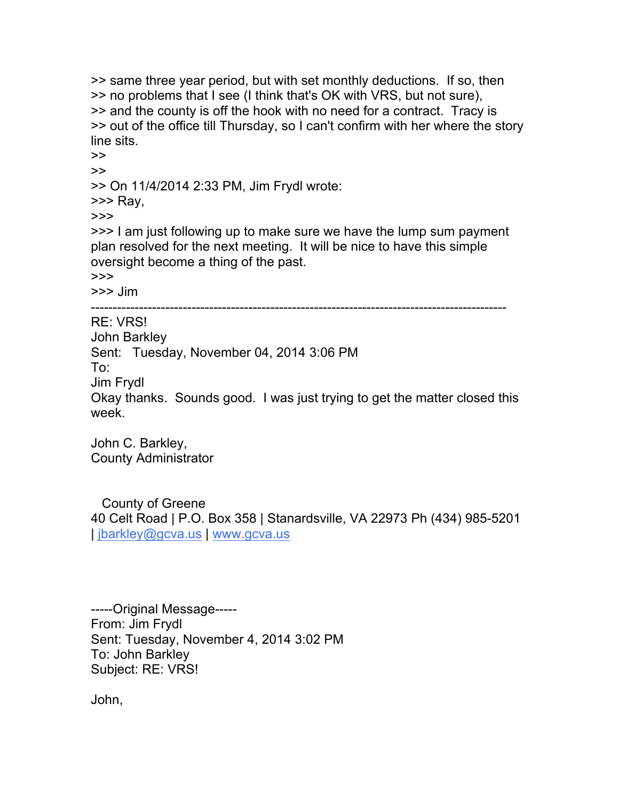>> same three year period, but with set monthly deductions. If so, then >> no problems that I see (I think that's OK with VRS, but not sure), >> and the county is off the hook with no need for a contract. Tracy is >> out of the office till Thursday, so I can't confirm with her where the story line sits.

>> >> On 11/4/2014 2:33 PM, Jim Frydl wrote:

>>> Ray,

>>>

>>

>>> I am just following up to make sure we have the lump sum payment plan resolved for the next meeting. It will be nice to have this simple oversight become a thing of the past.

>>>

>>> Jim

-----------------------------------------------------------------------------------------------

RE: VRS! John Barkley Sent: Tuesday, November 04, 2014 3:06 PM To: Jim Frydl Okay thanks. Sounds good. I was just trying to get the matter closed this week.

John C. Barkley, County Administrator

County of Greene 40 Celt Road | P.O. Box 358 | Stanardsville, VA 22973 Ph (434) 985-5201 | jbarkley@gcva.us | www.gcva.us

-----Original Message----- From: Jim Frydl Sent: Tuesday, November 4, 2014 3:02 PM To: John Barkley Subject: RE: VRS!

John,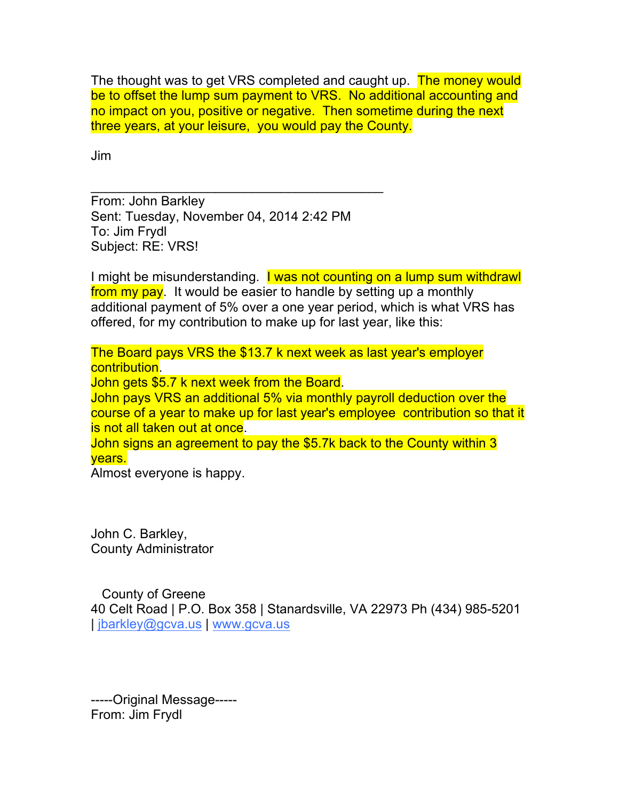The thought was to get VRS completed and caught up. The money would be to offset the lump sum payment to VRS. No additional accounting and no impact on you, positive or negative. Then sometime during the next three years, at your leisure, you would pay the County.

Jim

From: John Barkley Sent: Tuesday, November 04, 2014 2:42 PM To: Jim Frydl Subject: RE: VRS!

 $\overline{\mathcal{L}}$  , and the set of the set of the set of the set of the set of the set of the set of the set of the set of the set of the set of the set of the set of the set of the set of the set of the set of the set of the s

I might be misunderstanding. I was not counting on a lump sum withdrawl from my pay. It would be easier to handle by setting up a monthly additional payment of 5% over a one year period, which is what VRS has offered, for my contribution to make up for last year, like this:

The Board pays VRS the \$13.7 k next week as last year's employer contribution. John gets \$5.7 k next week from the Board. John pays VRS an additional 5% via monthly payroll deduction over the course of a year to make up for last year's employee contribution so that it is not all taken out at once. John signs an agreement to pay the \$5.7k back to the County within 3

years.

Almost everyone is happy.

John C. Barkley, County Administrator

County of Greene 40 Celt Road | P.O. Box 358 | Stanardsville, VA 22973 Ph (434) 985-5201 | jbarkley@gcva.us | www.gcva.us

-----Original Message----- From: Jim Frydl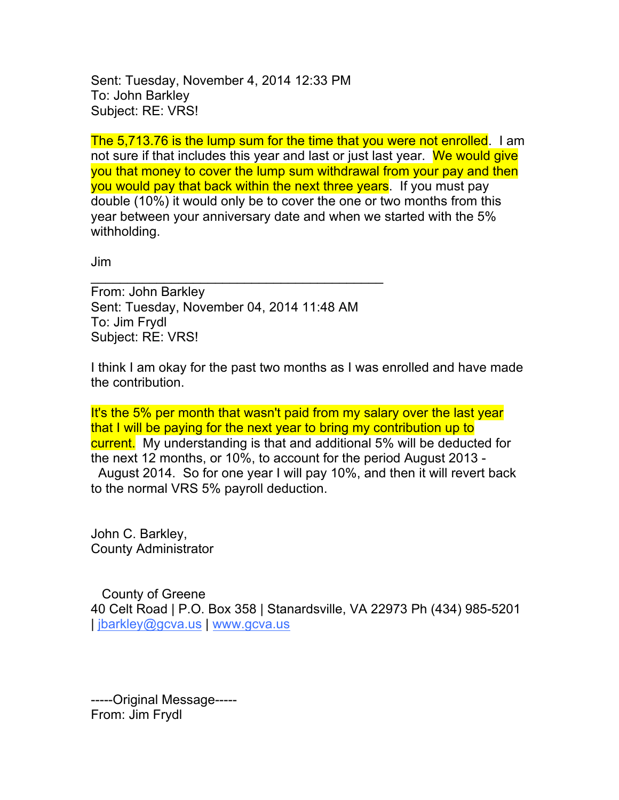Sent: Tuesday, November 4, 2014 12:33 PM To: John Barkley Subject: RE: VRS!

The 5,713.76 is the lump sum for the time that you were not enrolled. I am not sure if that includes this year and last or just last year. We would give you that money to cover the lump sum withdrawal from your pay and then you would pay that back within the next three years. If you must pay double (10%) it would only be to cover the one or two months from this year between your anniversary date and when we started with the 5% withholding.

Jim

From: John Barkley Sent: Tuesday, November 04, 2014 11:48 AM To: Jim Frydl Subject: RE: VRS!

 $\overline{\mathcal{L}}$  , and the set of the set of the set of the set of the set of the set of the set of the set of the set of the set of the set of the set of the set of the set of the set of the set of the set of the set of the s

I think I am okay for the past two months as I was enrolled and have made the contribution.

It's the 5% per month that wasn't paid from my salary over the last year that I will be paying for the next year to bring my contribution up to current. My understanding is that and additional 5% will be deducted for the next 12 months, or 10%, to account for the period August 2013 - August 2014. So for one year I will pay 10%, and then it will revert back to the normal VRS 5% payroll deduction.

John C. Barkley, County Administrator

County of Greene 40 Celt Road | P.O. Box 358 | Stanardsville, VA 22973 Ph (434) 985-5201 | jbarkley@gcva.us | www.gcva.us

-----Original Message----- From: Jim Frydl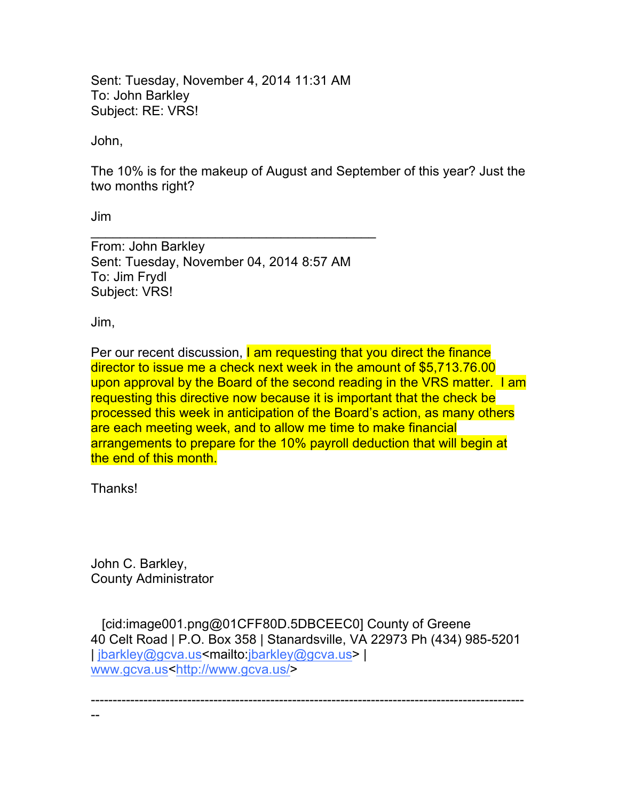Sent: Tuesday, November 4, 2014 11:31 AM To: John Barkley Subject: RE: VRS!

John,

The 10% is for the makeup of August and September of this year? Just the two months right?

Jim

From: John Barkley Sent: Tuesday, November 04, 2014 8:57 AM To: Jim Frydl Subject: VRS!

 $\mathcal{L}_\text{max}$  , which is a set of the set of the set of the set of the set of the set of the set of the set of the set of the set of the set of the set of the set of the set of the set of the set of the set of the set of

Jim,

Per our recent discussion, I am requesting that you direct the finance director to issue me a check next week in the amount of \$5,713.76.00 upon approval by the Board of the second reading in the VRS matter. I am requesting this directive now because it is important that the check be processed this week in anticipation of the Board's action, as many others are each meeting week, and to allow me time to make financial arrangements to prepare for the 10% payroll deduction that will begin at the end of this month.

Thanks!

--

John C. Barkley, County Administrator

[cid:image001.png@01CFF80D.5DBCEEC0] County of Greene 40 Celt Road | P.O. Box 358 | Stanardsville, VA 22973 Ph (434) 985-5201 | jbarkley@gcva.us<mailto:jbarkley@gcva.us> | www.gcva.us<http://www.gcva.us/>

---------------------------------------------------------------------------------------------------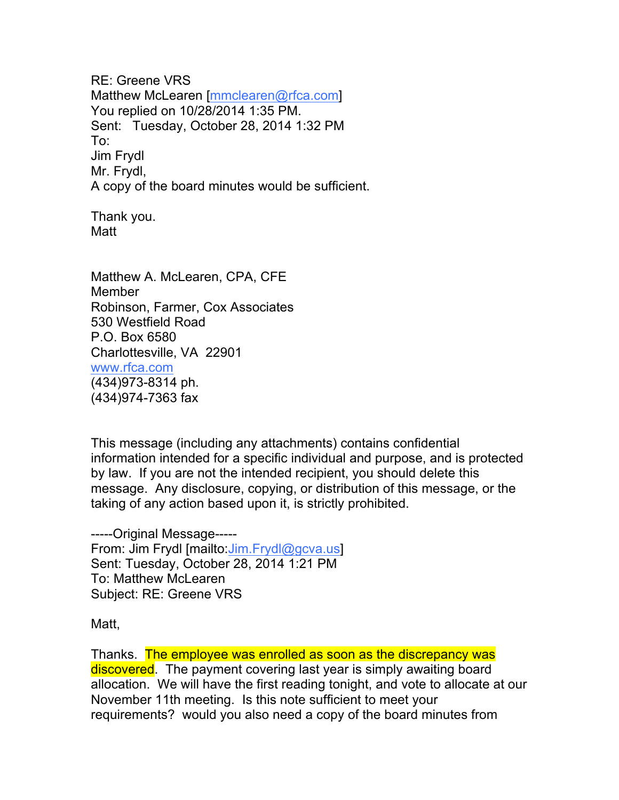RE: Greene VRS Matthew McLearen [mmclearen@rfca.com] You replied on 10/28/2014 1:35 PM. Sent: Tuesday, October 28, 2014 1:32 PM To: Jim Frydl Mr. Frydl, A copy of the board minutes would be sufficient.

Thank you. Matt

Matthew A. McLearen, CPA, CFE Member Robinson, Farmer, Cox Associates 530 Westfield Road P.O. Box 6580 Charlottesville, VA 22901 www.rfca.com (434)973-8314 ph. (434)974-7363 fax

This message (including any attachments) contains confidential information intended for a specific individual and purpose, and is protected by law. If you are not the intended recipient, you should delete this message. Any disclosure, copying, or distribution of this message, or the taking of any action based upon it, is strictly prohibited.

-----Original Message----- From: Jim Frydl [mailto: Jim.Frydl@gcva.us] Sent: Tuesday, October 28, 2014 1:21 PM To: Matthew McLearen Subject: RE: Greene VRS

Matt,

Thanks. The employee was enrolled as soon as the discrepancy was discovered. The payment covering last year is simply awaiting board allocation. We will have the first reading tonight, and vote to allocate at our November 11th meeting. Is this note sufficient to meet your requirements? would you also need a copy of the board minutes from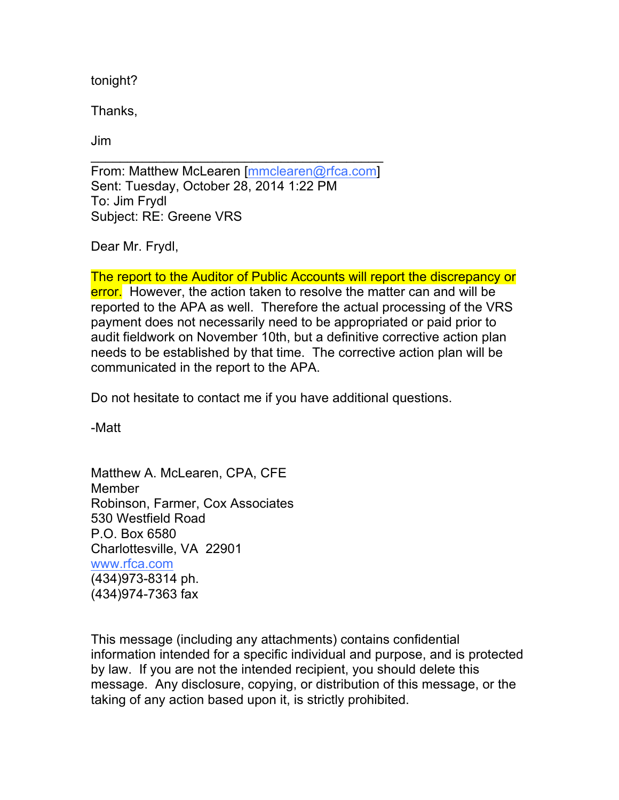tonight?

Thanks,

Jim

From: Matthew McLearen [mmclearen@rfca.com] Sent: Tuesday, October 28, 2014 1:22 PM To: Jim Frydl Subject: RE: Greene VRS

 $\overline{\mathcal{L}}$  , and the set of the set of the set of the set of the set of the set of the set of the set of the set of the set of the set of the set of the set of the set of the set of the set of the set of the set of the s

Dear Mr. Frydl,

The report to the Auditor of Public Accounts will report the discrepancy or error. However, the action taken to resolve the matter can and will be reported to the APA as well. Therefore the actual processing of the VRS payment does not necessarily need to be appropriated or paid prior to audit fieldwork on November 10th, but a definitive corrective action plan needs to be established by that time. The corrective action plan will be communicated in the report to the APA.

Do not hesitate to contact me if you have additional questions.

-Matt

Matthew A. McLearen, CPA, CFE Member Robinson, Farmer, Cox Associates 530 Westfield Road P.O. Box 6580 Charlottesville, VA 22901 www.rfca.com (434)973-8314 ph. (434)974-7363 fax

This message (including any attachments) contains confidential information intended for a specific individual and purpose, and is protected by law. If you are not the intended recipient, you should delete this message. Any disclosure, copying, or distribution of this message, or the taking of any action based upon it, is strictly prohibited.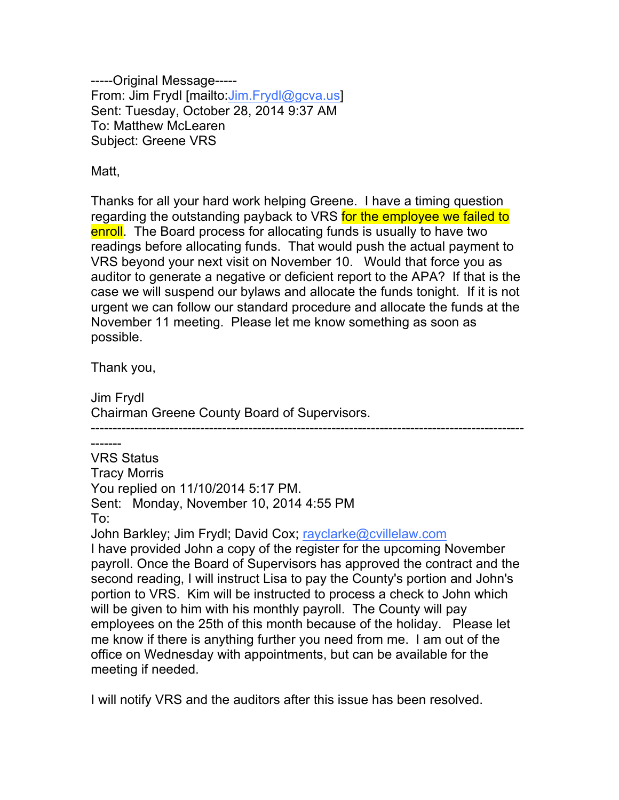-----Original Message----- From: Jim Frydl [mailto:Jim.Frydl@gcva.us] Sent: Tuesday, October 28, 2014 9:37 AM To: Matthew McLearen Subject: Greene VRS

Matt,

Thanks for all your hard work helping Greene. I have a timing question regarding the outstanding payback to VRS for the employee we failed to enroll. The Board process for allocating funds is usually to have two readings before allocating funds. That would push the actual payment to VRS beyond your next visit on November 10. Would that force you as auditor to generate a negative or deficient report to the APA? If that is the case we will suspend our bylaws and allocate the funds tonight. If it is not urgent we can follow our standard procedure and allocate the funds at the November 11 meeting. Please let me know something as soon as possible.

Thank you,

Jim Frydl Chairman Greene County Board of Supervisors.

--------------------------------------------------------------------------------------------------- ------- VRS Status Tracy Morris You replied on 11/10/2014 5:17 PM. Sent: Monday, November 10, 2014 4:55 PM To:

John Barkley; Jim Frydl; David Cox; rayclarke@cvillelaw.com

I have provided John a copy of the register for the upcoming November payroll. Once the Board of Supervisors has approved the contract and the second reading, I will instruct Lisa to pay the County's portion and John's portion to VRS. Kim will be instructed to process a check to John which will be given to him with his monthly payroll. The County will pay employees on the 25th of this month because of the holiday. Please let me know if there is anything further you need from me. I am out of the office on Wednesday with appointments, but can be available for the meeting if needed.

I will notify VRS and the auditors after this issue has been resolved.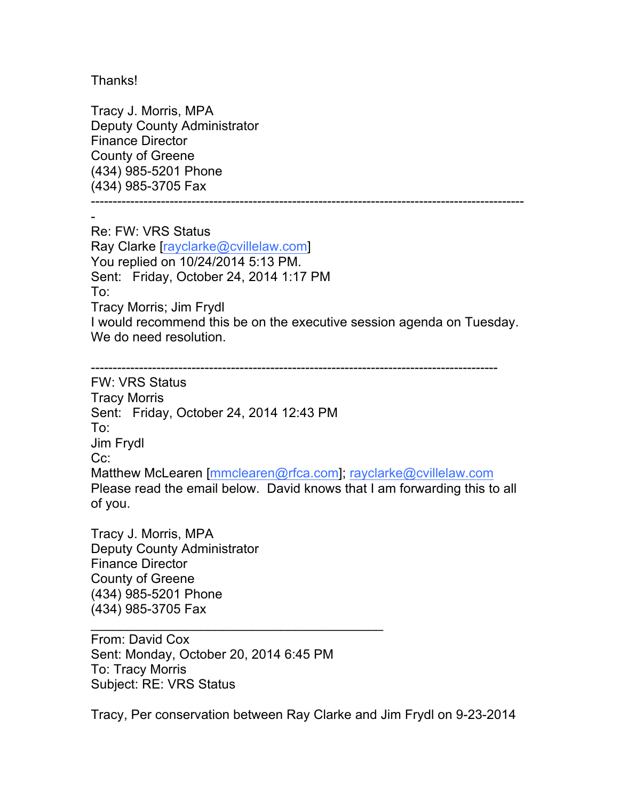Thanks!

Tracy J. Morris, MPA Deputy County Administrator Finance Director County of Greene (434) 985-5201 Phone (434) 985-3705 Fax

---------------------------------------------------------------------------------------------------

- Re: FW: VRS Status Ray Clarke [rayclarke@cvillelaw.com] You replied on 10/24/2014 5:13 PM. Sent: Friday, October 24, 2014 1:17 PM To: Tracy Morris; Jim Frydl I would recommend this be on the executive session agenda on Tuesday. We do need resolution.

--------------------------------------------------------------------------------------------- FW: VRS Status Tracy Morris Sent: Friday, October 24, 2014 12:43 PM To: Jim Frydl Cc: Matthew McLearen [mmclearen@rfca.com]; rayclarke@cvillelaw.com Please read the email below. David knows that I am forwarding this to all of you.

Tracy J. Morris, MPA Deputy County Administrator Finance Director County of Greene (434) 985-5201 Phone (434) 985-3705 Fax

From: David Cox Sent: Monday, October 20, 2014 6:45 PM To: Tracy Morris Subject: RE: VRS Status

 $\overline{\mathcal{L}}$  , and the set of the set of the set of the set of the set of the set of the set of the set of the set of the set of the set of the set of the set of the set of the set of the set of the set of the set of the s

Tracy, Per conservation between Ray Clarke and Jim Frydl on 9-23-2014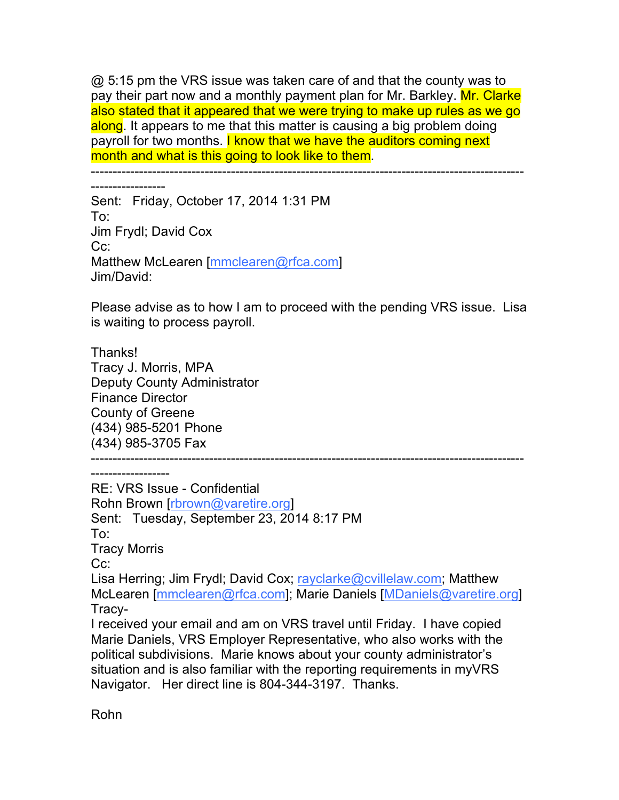@ 5:15 pm the VRS issue was taken care of and that the county was to pay their part now and a monthly payment plan for Mr. Barkley. Mr. Clarke also stated that it appeared that we were trying to make up rules as we go along. It appears to me that this matter is causing a big problem doing payroll for two months. I know that we have the auditors coming next month and what is this going to look like to them.

---------------------------------------------------------------------------------------------------

-----------------

Sent: Friday, October 17, 2014 1:31 PM To: Jim Frydl; David Cox Cc: Matthew McLearen [mmclearen@rfca.com] Jim/David:

Please advise as to how I am to proceed with the pending VRS issue. Lisa is waiting to process payroll.

Thanks! Tracy J. Morris, MPA Deputy County Administrator Finance Director County of Greene (434) 985-5201 Phone (434) 985-3705 Fax

---------------------------------------------------------------------------------------------------

------------------

RE: VRS Issue - Confidential Rohn Brown [rbrown@varetire.org] Sent: Tuesday, September 23, 2014 8:17 PM To: Tracy Morris Cc: Lisa Herring; Jim Frydl; David Cox; rayclarke@cvillelaw.com; Matthew McLearen [mmclearen@rfca.com]; Marie Daniels [MDaniels@varetire.org] Tracy-I received your email and am on VRS travel until Friday. I have copied Marie Daniels, VRS Employer Representative, who also works with the political subdivisions. Marie knows about your county administrator's situation and is also familiar with the reporting requirements in myVRS

Navigator. Her direct line is 804-344-3197. Thanks.

Rohn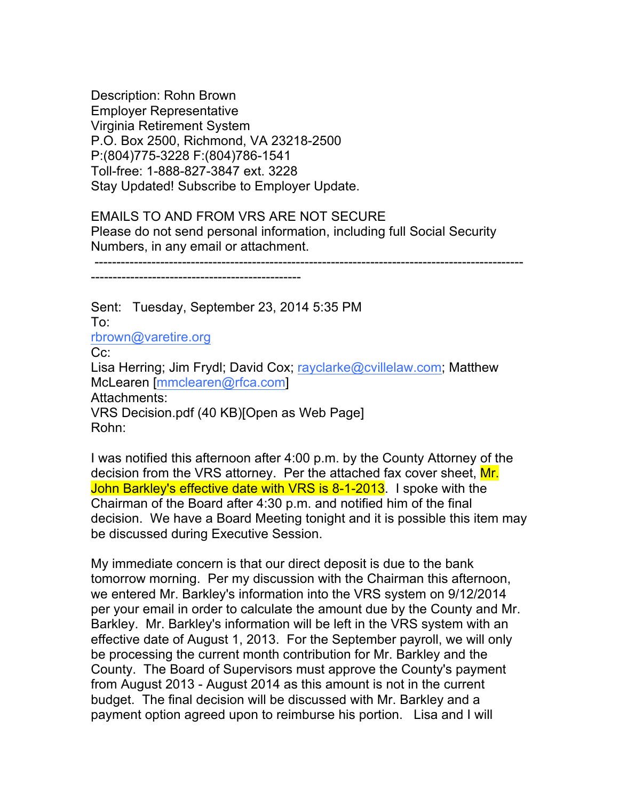Description: Rohn Brown Employer Representative Virginia Retirement System P.O. Box 2500, Richmond, VA 23218-2500 P:(804)775-3228 F:(804)786-1541 Toll-free: 1-888-827-3847 ext. 3228 Stay Updated! Subscribe to Employer Update.

## EMAILS TO AND FROM VRS ARE NOT SECURE Please do not send personal information, including full Social Security Numbers, in any email or attachment.

--------------------------------------------------------------------------------------------------

------------------------------------------------

Sent: Tuesday, September 23, 2014 5:35 PM To: rbrown@varetire.org Cc: Lisa Herring; Jim Frydl; David Cox; rayclarke@cvillelaw.com; Matthew McLearen [mmclearen@rfca.com] Attachments: VRS Decision.pdf (40 KB)[Open as Web Page] Rohn:

I was notified this afternoon after 4:00 p.m. by the County Attorney of the decision from the VRS attorney. Per the attached fax cover sheet, Mr. John Barkley's effective date with VRS is 8-1-2013. I spoke with the Chairman of the Board after 4:30 p.m. and notified him of the final decision. We have a Board Meeting tonight and it is possible this item may be discussed during Executive Session.

My immediate concern is that our direct deposit is due to the bank tomorrow morning. Per my discussion with the Chairman this afternoon, we entered Mr. Barkley's information into the VRS system on 9/12/2014 per your email in order to calculate the amount due by the County and Mr. Barkley. Mr. Barkley's information will be left in the VRS system with an effective date of August 1, 2013. For the September payroll, we will only be processing the current month contribution for Mr. Barkley and the County. The Board of Supervisors must approve the County's payment from August 2013 - August 2014 as this amount is not in the current budget. The final decision will be discussed with Mr. Barkley and a payment option agreed upon to reimburse his portion. Lisa and I will